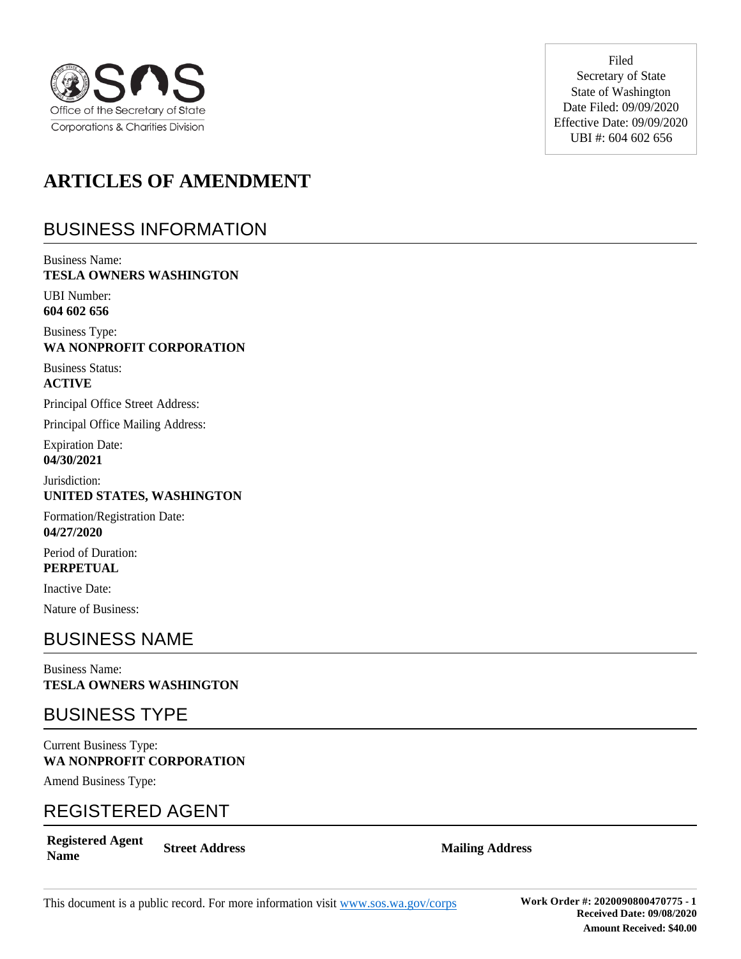

Filed Secretary of State State of Washington Date Filed: 09/09/2020 Effective Date: 09/09/2020 UBI #: 604 602 656

# **ARTICLES OF AMENDMENT**

# BUSINESS INFORMATION

Business Name: **TESLA OWNERS WASHINGTON** 

UBI Number: **604 602 656**

Business Type: **WA NONPROFIT CORPORATION**

Business Status: **ACTIVE**

Principal Office Street Address:

Principal Office Mailing Address:

Expiration Date: **04/30/2021**

Jurisdiction: **UNITED STATES, WASHINGTON**

Formation/Registration Date: **04/27/2020**

Period of Duration: **PERPETUAL**

Inactive Date:

Nature of Business:

#### BUSINESS NAME

Business Name: **TESLA OWNERS WASHINGTON**

#### BUSINESS TYPE

Current Business Type: **WA NONPROFIT CORPORATION**

Amend Business Type:

#### REGISTERED AGENT

**Registered Agent Name Street Address Mailing Address**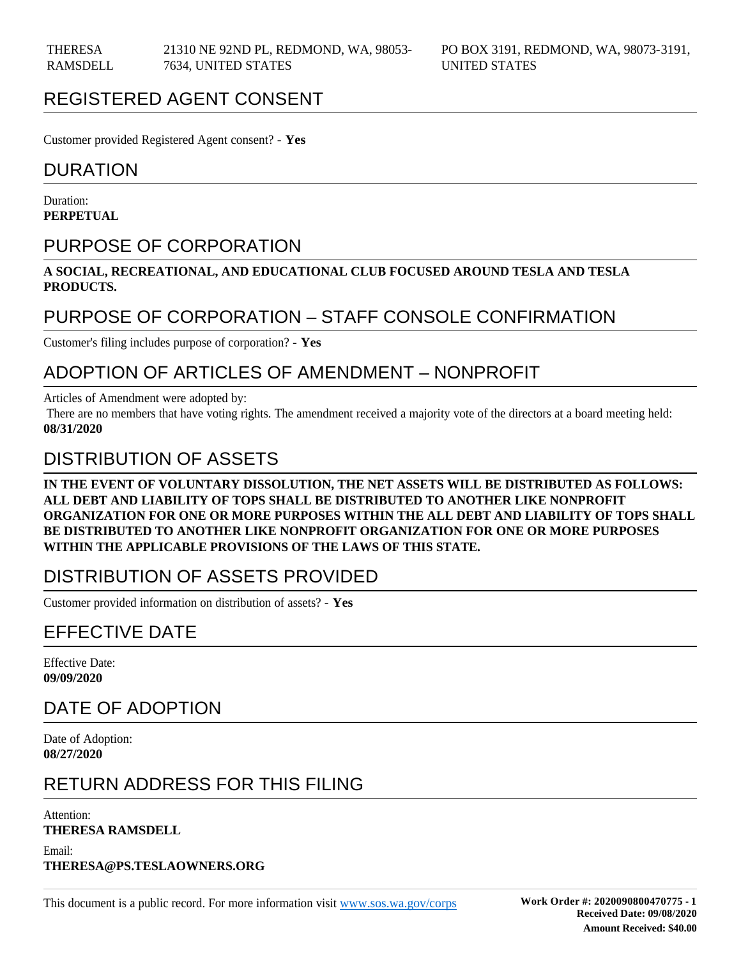### REGISTERED AGENT CONSENT

Customer provided Registered Agent consent? - **Yes**

#### DURATION

Duration: **PERPETUAL**

### PURPOSE OF CORPORATION

**A SOCIAL, RECREATIONAL, AND EDUCATIONAL CLUB FOCUSED AROUND TESLA AND TESLA PRODUCTS.** 

#### PURPOSE OF CORPORATION – STAFF CONSOLE CONFIRMATION

Customer's filing includes purpose of corporation? - **Yes**

#### ADOPTION OF ARTICLES OF AMENDMENT – NONPROFIT

Articles of Amendment were adopted by:

 There are no members that have voting rights. The amendment received a majority vote of the directors at a board meeting held: **08/31/2020**

#### DISTRIBUTION OF ASSETS

**IN THE EVENT OF VOLUNTARY DISSOLUTION, THE NET ASSETS WILL BE DISTRIBUTED AS FOLLOWS: ALL DEBT AND LIABILITY OF TOPS SHALL BE DISTRIBUTED TO ANOTHER LIKE NONPROFIT ORGANIZATION FOR ONE OR MORE PURPOSES WITHIN THE ALL DEBT AND LIABILITY OF TOPS SHALL BE DISTRIBUTED TO ANOTHER LIKE NONPROFIT ORGANIZATION FOR ONE OR MORE PURPOSES WITHIN THE APPLICABLE PROVISIONS OF THE LAWS OF THIS STATE.**

#### DISTRIBUTION OF ASSETS PROVIDED

Customer provided information on distribution of assets? - **Yes**

# EFFECTIVE DATE

Effective Date: **09/09/2020**

# DATE OF ADOPTION

Date of Adoption: **08/27/2020**

#### RETURN ADDRESS FOR THIS FILING

Attention:

**THERESA RAMSDELL**

Email: **THERESA@PS.TESLAOWNERS.ORG**